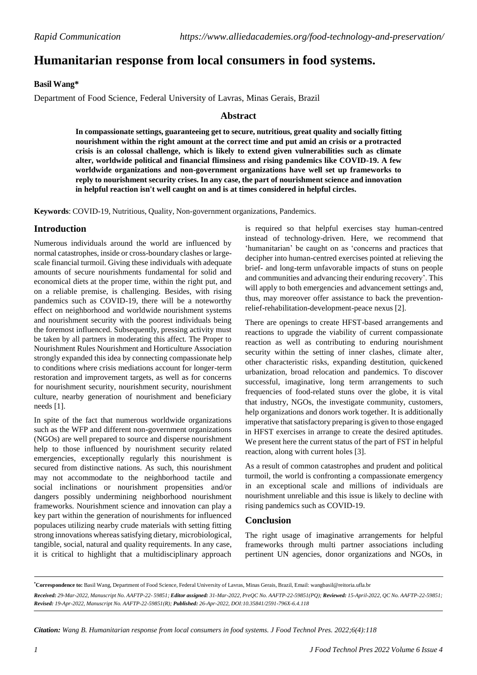# **Humanitarian response from local consumers in food systems.**

# **Basil Wang\***

Department of Food Science, Federal University of Lavras, Minas Gerais, Brazil

## **Abstract**

**In compassionate settings, guaranteeing get to secure, nutritious, great quality and socially fitting nourishment within the right amount at the correct time and put amid an crisis or a protracted crisis is an colossal challenge, which is likely to extend given vulnerabilities such as climate alter, worldwide political and financial flimsiness and rising pandemics like COVID-19. A few worldwide organizations and non-government organizations have well set up frameworks to reply to nourishment security crises. In any case, the part of nourishment science and innovation in helpful reaction isn't well caught on and is at times considered in helpful circles.**

**Keywords**: COVID-19, Nutritious, Quality, Non-government organizations, Pandemics.

# **Introduction**

Numerous individuals around the world are influenced by normal catastrophes, inside or cross-boundary clashes or largescale financial turmoil. Giving these individuals with adequate amounts of secure nourishments fundamental for solid and economical diets at the proper time, within the right put, and on a reliable premise, is challenging. Besides, with rising pandemics such as COVID-19, there will be a noteworthy effect on neighborhood and worldwide nourishment systems and nourishment security with the poorest individuals being the foremost influenced. Subsequently, pressing activity must be taken by all partners in moderating this affect. The Proper to Nourishment Rules Nourishment and Horticulture Association strongly expanded this idea by connecting compassionate help to conditions where crisis mediations account for longer-term restoration and improvement targets, as well as for concerns for nourishment security, nourishment security, nourishment culture, nearby generation of nourishment and beneficiary needs [1].

In spite of the fact that numerous worldwide organizations such as the WFP and different non-government organizations (NGOs) are well prepared to source and disperse nourishment help to those influenced by nourishment security related emergencies, exceptionally regularly this nourishment is secured from distinctive nations. As such, this nourishment may not accommodate to the neighborhood tactile and social inclinations or nourishment propensities and/or dangers possibly undermining neighborhood nourishment frameworks. Nourishment science and innovation can play a key part within the generation of nourishments for influenced populaces utilizing nearby crude materials with setting fitting strong innovations whereas satisfying dietary, microbiological, tangible, social, natural and quality requirements. In any case, it is critical to highlight that a multidisciplinary approach

is required so that helpful exercises stay human-centred instead of technology-driven. Here, we recommend that 'humanitarian' be caught on as 'concerns and practices that decipher into human-centred exercises pointed at relieving the brief- and long-term unfavorable impacts of stuns on people and communities and advancing their enduring recovery'. This will apply to both emergencies and advancement settings and, thus, may moreover offer assistance to back the preventionrelief-rehabilitation-development-peace nexus [2].

There are openings to create HFST-based arrangements and reactions to upgrade the viability of current compassionate reaction as well as contributing to enduring nourishment security within the setting of inner clashes, climate alter, other characteristic risks, expanding destitution, quickened urbanization, broad relocation and pandemics. To discover successful, imaginative, long term arrangements to such frequencies of food-related stuns over the globe, it is vital that industry, NGOs, the investigate community, customers, help organizations and donors work together. It is additionally imperative that satisfactory preparing is given to those engaged in HFST exercises in arrange to create the desired aptitudes. We present here the current status of the part of FST in helpful reaction, along with current holes [3].

As a result of common catastrophes and prudent and political turmoil, the world is confronting a compassionate emergency in an exceptional scale and millions of individuals are nourishment unreliable and this issue is likely to decline with rising pandemics such as COVID-19.

## **Conclusion**

The right usage of imaginative arrangements for helpful frameworks through multi partner associations including pertinent UN agencies, donor organizations and NGOs, in

**\*Correspondence to:** Basil Wang, Department of Food Science, Federal University of Lavras, Minas Gerais, Brazil, Email: [wangbasil@reitoria.ufla.br](mailto:wangbasil@reitoria.ufla.br) Received: 29-Mar-2022, Manuscript No. AAFTP-22-59851; Editor assigned: 31-Mar-2022, PreOC No. AAFTP-22-59851(PO); Reviewed: 15-April-2022, OC No. AAFTP-22-59851; *Revised: 19-Apr-2022, Manuscript No. AAFTP-22-59851(R); Published: 26-Apr-2022, DOI:10.35841/2591-796X-6.4.118*

*Citation: Wang B. Humanitarian response from local consumers in food systems. J Food Technol Pres. 2022;6(4):118*